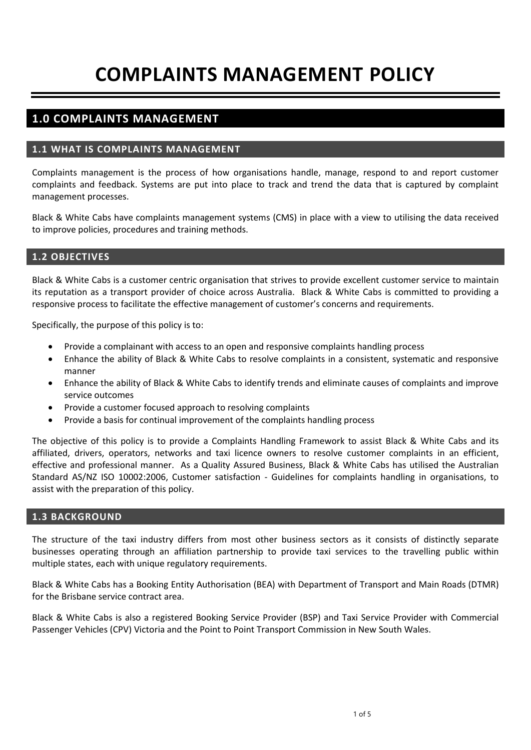# **COMPLAINTS MANAGEMENT POLICY**

# **1.0 COMPLAINTS MANAGEMENT**

# **1.1 WHAT IS COMPLAINTS MANAGEMENT**

Complaints management is the process of how organisations handle, manage, respond to and report customer complaints and feedback. Systems are put into place to track and trend the data that is captured by complaint management processes.

Black & White Cabs have complaints management systems (CMS) in place with a view to utilising the data received to improve policies, procedures and training methods.

# **1.2 OBJECTIVES**

Black & White Cabs is a customer centric organisation that strives to provide excellent customer service to maintain its reputation as a transport provider of choice across Australia. Black & White Cabs is committed to providing a responsive process to facilitate the effective management of customer's concerns and requirements.

Specifically, the purpose of this policy is to:

- Provide a complainant with access to an open and responsive complaints handling process
- Enhance the ability of Black & White Cabs to resolve complaints in a consistent, systematic and responsive manner
- Enhance the ability of Black & White Cabs to identify trends and eliminate causes of complaints and improve service outcomes
- Provide a customer focused approach to resolving complaints
- Provide a basis for continual improvement of the complaints handling process

The objective of this policy is to provide a Complaints Handling Framework to assist Black & White Cabs and its affiliated, drivers, operators, networks and taxi licence owners to resolve customer complaints in an efficient, effective and professional manner. As a Quality Assured Business, Black & White Cabs has utilised the Australian Standard AS/NZ ISO 10002:2006, Customer satisfaction - Guidelines for complaints handling in organisations, to assist with the preparation of this policy.

## **1.3 BACKGROUND**

The structure of the taxi industry differs from most other business sectors as it consists of distinctly separate businesses operating through an affiliation partnership to provide taxi services to the travelling public within multiple states, each with unique regulatory requirements.

Black & White Cabs has a Booking Entity Authorisation (BEA) with Department of Transport and Main Roads (DTMR) for the Brisbane service contract area.

Black & White Cabs is also a registered Booking Service Provider (BSP) and Taxi Service Provider with Commercial Passenger Vehicles (CPV) Victoria and the Point to Point Transport Commission in New South Wales.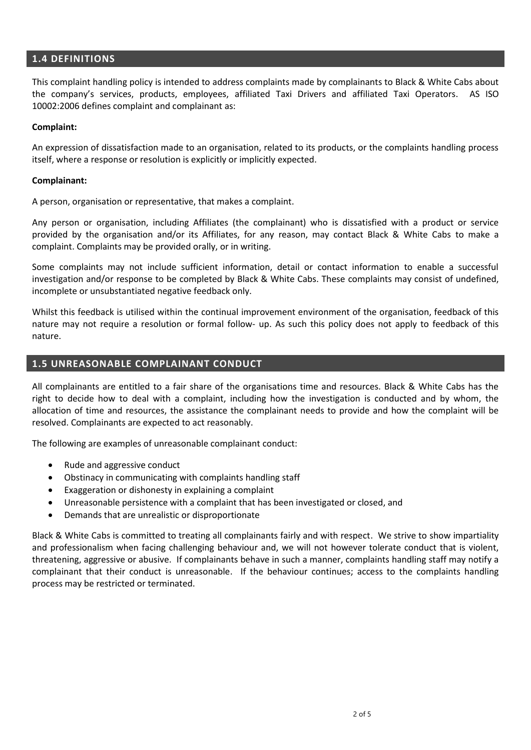# **1.4 DEFINITIONS**

This complaint handling policy is intended to address complaints made by complainants to Black & White Cabs about the company's services, products, employees, affiliated Taxi Drivers and affiliated Taxi Operators. AS ISO 10002:2006 defines complaint and complainant as:

## **Complaint:**

An expression of dissatisfaction made to an organisation, related to its products, or the complaints handling process itself, where a response or resolution is explicitly or implicitly expected.

#### **Complainant:**

A person, organisation or representative, that makes a complaint.

Any person or organisation, including Affiliates (the complainant) who is dissatisfied with a product or service provided by the organisation and/or its Affiliates, for any reason, may contact Black & White Cabs to make a complaint. Complaints may be provided orally, or in writing.

Some complaints may not include sufficient information, detail or contact information to enable a successful investigation and/or response to be completed by Black & White Cabs. These complaints may consist of undefined, incomplete or unsubstantiated negative feedback only.

Whilst this feedback is utilised within the continual improvement environment of the organisation, feedback of this nature may not require a resolution or formal follow- up. As such this policy does not apply to feedback of this nature.

# **1.5 UNREASONABLE COMPLAINANT CONDUCT**

All complainants are entitled to a fair share of the organisations time and resources. Black & White Cabs has the right to decide how to deal with a complaint, including how the investigation is conducted and by whom, the allocation of time and resources, the assistance the complainant needs to provide and how the complaint will be resolved. Complainants are expected to act reasonably.

The following are examples of unreasonable complainant conduct:

- Rude and aggressive conduct
- Obstinacy in communicating with complaints handling staff
- Exaggeration or dishonesty in explaining a complaint
- Unreasonable persistence with a complaint that has been investigated or closed, and
- Demands that are unrealistic or disproportionate

Black & White Cabs is committed to treating all complainants fairly and with respect. We strive to show impartiality and professionalism when facing challenging behaviour and, we will not however tolerate conduct that is violent, threatening, aggressive or abusive. If complainants behave in such a manner, complaints handling staff may notify a complainant that their conduct is unreasonable. If the behaviour continues; access to the complaints handling process may be restricted or terminated.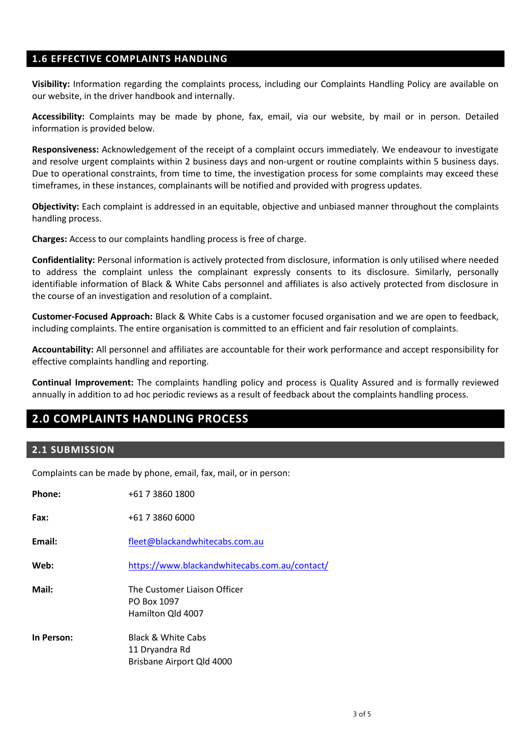# **1.6 EFFECTIVE COMPLAINTS HANDLING**

**Visibility:** Information regarding the complaints process, including our Complaints Handling Policy are available on our website, in the driver handbook and internally.

**Accessibility:** Complaints may be made by phone, fax, email, via our website, by mail or in person. Detailed information is provided below.

**Responsiveness:** Acknowledgement of the receipt of a complaint occurs immediately. We endeavour to investigate and resolve urgent complaints within 2 business days and non-urgent or routine complaints within 5 business days. Due to operational constraints, from time to time, the investigation process for some complaints may exceed these timeframes, in these instances, complainants will be notified and provided with progress updates.

**Objectivity:** Each complaint is addressed in an equitable, objective and unbiased manner throughout the complaints handling process.

**Charges:** Access to our complaints handling process is free of charge.

**Confidentiality:** Personal information is actively protected from disclosure, information is only utilised where needed to address the complaint unless the complainant expressly consents to its disclosure. Similarly, personally identifiable information of Black & White Cabs personnel and affiliates is also actively protected from disclosure in the course of an investigation and resolution of a complaint.

**Customer-Focused Approach:** Black & White Cabs is a customer focused organisation and we are open to feedback, including complaints. The entire organisation is committed to an efficient and fair resolution of complaints.

**Accountability:** All personnel and affiliates are accountable for their work performance and accept responsibility for effective complaints handling and reporting.

**Continual Improvement:** The complaints handling policy and process is Quality Assured and is formally reviewed annually in addition to ad hoc periodic reviews as a result of feedback about the complaints handling process.

# **2.0 COMPLAINTS HANDLING PROCESS**

# **2.1 SUBMISSION**

Complaints can be made by phone, email, fax, mail, or in person:

| Phone:     | +61 7 3860 1800                                                              |
|------------|------------------------------------------------------------------------------|
| Fax:       | +61 7 3860 6000                                                              |
| Email:     | fleet@blackandwhitecabs.com.au                                               |
| Web:       | https://www.blackandwhitecabs.com.au/contact/                                |
| Mail:      | The Customer Liaison Officer<br>PO Box 1097<br>Hamilton Qld 4007             |
| In Person: | <b>Black &amp; White Cabs</b><br>11 Dryandra Rd<br>Brisbane Airport Qld 4000 |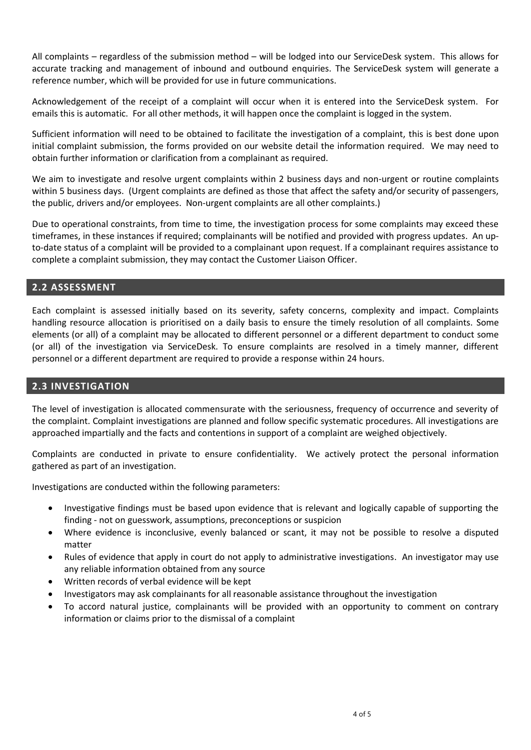All complaints – regardless of the submission method – will be lodged into our ServiceDesk system. This allows for accurate tracking and management of inbound and outbound enquiries. The ServiceDesk system will generate a reference number, which will be provided for use in future communications.

Acknowledgement of the receipt of a complaint will occur when it is entered into the ServiceDesk system. For emails this is automatic. For all other methods, it will happen once the complaint is logged in the system.

Sufficient information will need to be obtained to facilitate the investigation of a complaint, this is best done upon initial complaint submission, the forms provided on our website detail the information required. We may need to obtain further information or clarification from a complainant as required.

We aim to investigate and resolve urgent complaints within 2 business days and non-urgent or routine complaints within 5 business days. (Urgent complaints are defined as those that affect the safety and/or security of passengers, the public, drivers and/or employees. Non-urgent complaints are all other complaints.)

Due to operational constraints, from time to time, the investigation process for some complaints may exceed these timeframes, in these instances if required; complainants will be notified and provided with progress updates. An upto-date status of a complaint will be provided to a complainant upon request. If a complainant requires assistance to complete a complaint submission, they may contact the Customer Liaison Officer.

# **2.2 ASSESSMENT**

Each complaint is assessed initially based on its severity, safety concerns, complexity and impact. Complaints handling resource allocation is prioritised on a daily basis to ensure the timely resolution of all complaints. Some elements (or all) of a complaint may be allocated to different personnel or a different department to conduct some (or all) of the investigation via ServiceDesk. To ensure complaints are resolved in a timely manner, different personnel or a different department are required to provide a response within 24 hours.

# **2.3 INVESTIGATION**

The level of investigation is allocated commensurate with the seriousness, frequency of occurrence and severity of the complaint. Complaint investigations are planned and follow specific systematic procedures. All investigations are approached impartially and the facts and contentions in support of a complaint are weighed objectively.

Complaints are conducted in private to ensure confidentiality. We actively protect the personal information gathered as part of an investigation.

Investigations are conducted within the following parameters:

- Investigative findings must be based upon evidence that is relevant and logically capable of supporting the finding - not on guesswork, assumptions, preconceptions or suspicion
- Where evidence is inconclusive, evenly balanced or scant, it may not be possible to resolve a disputed matter
- Rules of evidence that apply in court do not apply to administrative investigations. An investigator may use any reliable information obtained from any source
- Written records of verbal evidence will be kept
- Investigators may ask complainants for all reasonable assistance throughout the investigation
- To accord natural justice, complainants will be provided with an opportunity to comment on contrary information or claims prior to the dismissal of a complaint